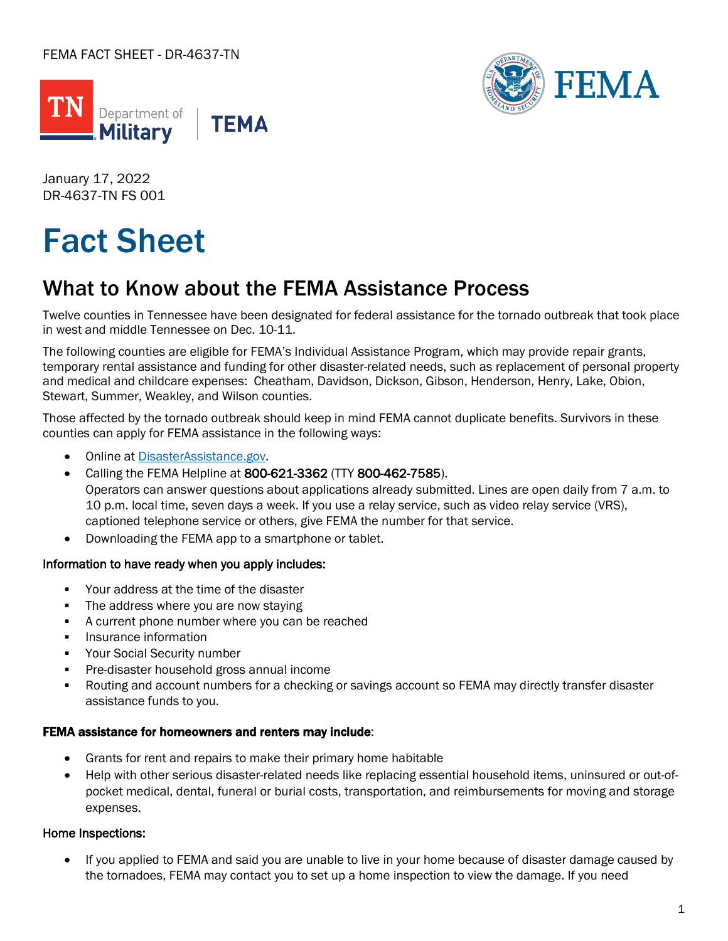



January 17, 2022 DR-4637-TN FS 001

# Fact Sheet

## What to Know about the FEMA Assistance Process

Twelve counties in Tennessee have been designated for federal assistance for the tornado outbreak that took place in west and middle Tennessee on Dec. 10-11.

The following counties are eligible for FEMA's Individual Assistance Program, which may provide repair grants, temporary rental assistance and funding for other disaster-related needs, such as replacement of personal property and medical and childcare expenses: Cheatham, Davidson, Dickson, Gibson, Henderson, Henry, Lake, Obion, Stewart, Summer, Weakley, and Wilson counties.

Those affected by the tornado outbreak should keep in mind FEMA cannot duplicate benefits. Survivors in these counties can apply for FEMA assistance in the following ways:

- Online at [DisasterAssistance.gov.](http://www.disasterassistance.gov/)
- Calling the FEMA Helpline at 800-621-3362 (TTY 800-462-7585). Operators can answer questions about applications already submitted. Lines are open daily from 7 a.m. to 10 p.m. local time, seven days a week. If you use a relay service, such as video relay service (VRS), captioned telephone service or others, give FEMA the number for that service.
- Downloading the FEMA app to a smartphone or tablet.

#### Information to have ready when you apply includes:

- Your address at the time of the disaster
- The address where you are now staying
- A current phone number where you can be reached
- Insurance information
- Your Social Security number
- Pre-disaster household gross annual income
- Routing and account numbers for a checking or savings account so FEMA may directly transfer disaster assistance funds to you.

#### FEMA assistance for homeowners and renters may include:

- Grants for rent and repairs to make their primary home habitable
- Help with other serious disaster-related needs like replacing essential household items, uninsured or out-ofpocket medical, dental, funeral or burial costs, transportation, and reimbursements for moving and storage expenses.

### Home Inspections:

• If you applied to FEMA and said you are unable to live in your home because of disaster damage caused by the tornadoes, FEMA may contact you to set up a home inspection to view the damage. If you need